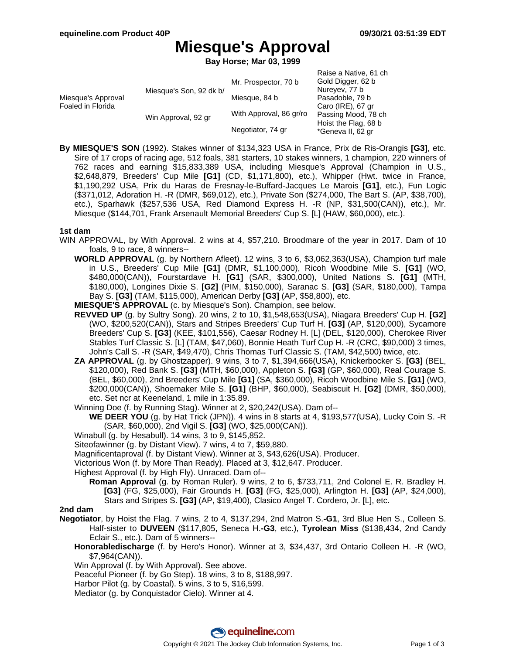# **Miesque's Approval**

**Bay Horse; Mar 03, 1999**

|                                         |                         |                         | Raise a Native, 61 ch                     |
|-----------------------------------------|-------------------------|-------------------------|-------------------------------------------|
| Miesque's Approval<br>Foaled in Florida | Miesque's Son, 92 dk b/ | Mr. Prospector, 70 b    | Gold Digger, 62 b                         |
|                                         |                         | Miesque, 84 b           | Nureyev, 77 b<br>Pasadoble, 79 b          |
|                                         |                         |                         | Caro (IRE), 67 gr                         |
|                                         | Win Approval, 92 gr     | With Approval, 86 gr/ro | Passing Mood, 78 ch                       |
|                                         |                         | Negotiator, 74 gr       | Hoist the Flag, 68 b<br>*Geneva II, 62 gr |

**By MIESQUE'S SON** (1992). Stakes winner of \$134,323 USA in France, Prix de Ris-Orangis **[G3]**, etc. Sire of 17 crops of racing age, 512 foals, 381 starters, 10 stakes winners, 1 champion, 220 winners of 762 races and earning \$15,833,389 USA, including Miesque's Approval (Champion in U.S., \$2,648,879, Breeders' Cup Mile **[G1]** (CD, \$1,171,800), etc.), Whipper (Hwt. twice in France, \$1,190,292 USA, Prix du Haras de Fresnay-le-Buffard-Jacques Le Marois **[G1]**, etc.), Fun Logic (\$371,012, Adoration H. -R (DMR, \$69,012), etc.), Private Son (\$274,000, The Bart S. (AP, \$38,700), etc.), Sparhawk (\$257,536 USA, Red Diamond Express H. -R (NP, \$31,500(CAN)), etc.), Mr. Miesque (\$144,701, Frank Arsenault Memorial Breeders' Cup S. [L] (HAW, \$60,000), etc.).

### **1st dam**

- WIN APPROVAL, by With Approval. 2 wins at 4, \$57,210. Broodmare of the year in 2017. Dam of 10 foals, 9 to race, 8 winners--
	- **WORLD APPROVAL** (g. by Northern Afleet). 12 wins, 3 to 6, \$3,062,363(USA), Champion turf male in U.S., Breeders' Cup Mile **[G1]** (DMR, \$1,100,000), Ricoh Woodbine Mile S. **[G1]** (WO, \$480,000(CAN)), Fourstardave H. **[G1]** (SAR, \$300,000), United Nations S. **[G1]** (MTH, \$180,000), Longines Dixie S. **[G2]** (PIM, \$150,000), Saranac S. **[G3]** (SAR, \$180,000), Tampa Bay S. **[G3]** (TAM, \$115,000), American Derby **[G3]** (AP, \$58,800), etc.
	- **MIESQUE'S APPROVAL** (c. by Miesque's Son). Champion, see below.
	- **REVVED UP** (g. by Sultry Song). 20 wins, 2 to 10, \$1,548,653(USA), Niagara Breeders' Cup H. **[G2]** (WO, \$200,520(CAN)), Stars and Stripes Breeders' Cup Turf H. **[G3]** (AP, \$120,000), Sycamore Breeders' Cup S. **[G3]** (KEE, \$101,556), Caesar Rodney H. [L] (DEL, \$120,000), Cherokee River Stables Turf Classic S. [L] (TAM, \$47,060), Bonnie Heath Turf Cup H. -R (CRC, \$90,000) 3 times, John's Call S. -R (SAR, \$49,470), Chris Thomas Turf Classic S. (TAM, \$42,500) twice, etc.
	- **ZA APPROVAL** (g. by Ghostzapper). 9 wins, 3 to 7, \$1,394,666(USA), Knickerbocker S. **[G3]** (BEL, \$120,000), Red Bank S. **[G3]** (MTH, \$60,000), Appleton S. **[G3]** (GP, \$60,000), Real Courage S. (BEL, \$60,000), 2nd Breeders' Cup Mile **[G1]** (SA, \$360,000), Ricoh Woodbine Mile S. **[G1]** (WO, \$200,000(CAN)), Shoemaker Mile S. **[G1]** (BHP, \$60,000), Seabiscuit H. **[G2]** (DMR, \$50,000), etc. Set ncr at Keeneland, 1 mile in 1:35.89.
	- Winning Doe (f. by Running Stag). Winner at 2, \$20,242(USA). Dam of--
		- **WE DEER YOU** (g. by Hat Trick (JPN)). 4 wins in 8 starts at 4, \$193,577(USA), Lucky Coin S. -R (SAR, \$60,000), 2nd Vigil S. **[G3]** (WO, \$25,000(CAN)).
	- Winabull (g. by Hesabull). 14 wins, 3 to 9, \$145,852.
	- Siteofawinner (g. by Distant View). 7 wins, 4 to 7, \$59,880.
	- Magnificentaproval (f. by Distant View). Winner at 3, \$43,626(USA). Producer.
	- Victorious Won (f. by More Than Ready). Placed at 3, \$12,647. Producer.
	- Highest Approval (f. by High Fly). Unraced. Dam of--
		- **Roman Approval** (g. by Roman Ruler). 9 wins, 2 to 6, \$733,711, 2nd Colonel E. R. Bradley H. **[G3]** (FG, \$25,000), Fair Grounds H. **[G3]** (FG, \$25,000), Arlington H. **[G3]** (AP, \$24,000), Stars and Stripes S. **[G3]** (AP, \$19,400), Clasico Angel T. Cordero, Jr. [L], etc.

#### **2nd dam**

- **Negotiator**, by Hoist the Flag. 7 wins, 2 to 4, \$137,294, 2nd Matron S.**-G1**, 3rd Blue Hen S., Colleen S. Half-sister to **DUVEEN** (\$117,805, Seneca H.**-G3**, etc.), **Tyrolean Miss** (\$138,434, 2nd Candy Eclair S., etc.). Dam of 5 winners--
	- **Honorabledischarge** (f. by Hero's Honor). Winner at 3, \$34,437, 3rd Ontario Colleen H. -R (WO, \$7,964(CAN)).
	- Win Approval (f. by With Approval). See above.
	- Peaceful Pioneer (f. by Go Step). 18 wins, 3 to 8, \$188,997.
	- Harbor Pilot (g. by Coastal). 5 wins, 3 to 5, \$16,599.
	- Mediator (g. by Conquistador Cielo). Winner at 4.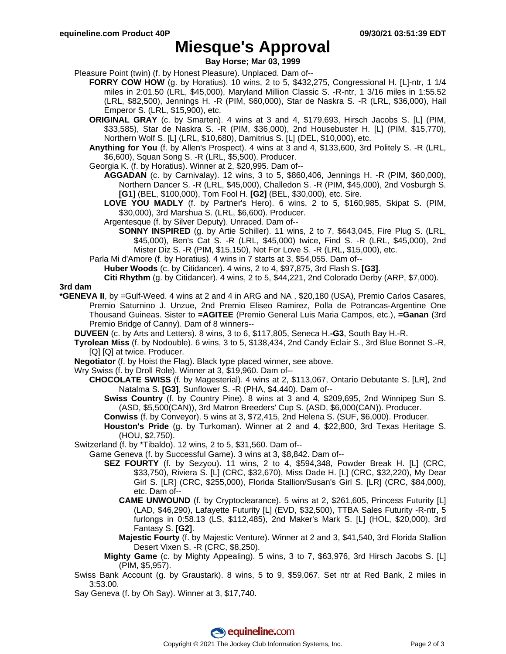# **Miesque's Approval**

**Bay Horse; Mar 03, 1999**

Pleasure Point (twin) (f. by Honest Pleasure). Unplaced. Dam of--

- **FORRY COW HOW** (g. by Horatius). 10 wins, 2 to 5, \$432,275, Congressional H. [L]-ntr, 1 1/4 miles in 2:01.50 (LRL, \$45,000), Maryland Million Classic S. -R-ntr, 1 3/16 miles in 1:55.52 (LRL, \$82,500), Jennings H. -R (PIM, \$60,000), Star de Naskra S. -R (LRL, \$36,000), Hail Emperor S. (LRL, \$15,900), etc.
- **ORIGINAL GRAY** (c. by Smarten). 4 wins at 3 and 4, \$179,693, Hirsch Jacobs S. [L] (PIM, \$33,585), Star de Naskra S. -R (PIM, \$36,000), 2nd Housebuster H. [L] (PIM, \$15,770), Northern Wolf S. [L] (LRL, \$10,680), Damitrius S. [L] (DEL, \$10,000), etc.
- **Anything for You** (f. by Allen's Prospect). 4 wins at 3 and 4, \$133,600, 3rd Politely S. -R (LRL, \$6,600), Squan Song S. -R (LRL, \$5,500). Producer.
- Georgia K. (f. by Horatius). Winner at 2, \$20,995. Dam of--
	- **AGGADAN** (c. by Carnivalay). 12 wins, 3 to 5, \$860,406, Jennings H. -R (PIM, \$60,000), Northern Dancer S. -R (LRL, \$45,000), Challedon S. -R (PIM, \$45,000), 2nd Vosburgh S. **[G1]** (BEL, \$100,000), Tom Fool H. **[G2]** (BEL, \$30,000), etc. Sire.
	- **LOVE YOU MADLY** (f. by Partner's Hero). 6 wins, 2 to 5, \$160,985, Skipat S. (PIM, \$30,000), 3rd Marshua S. (LRL, \$6,600). Producer.
	- Argentesque (f. by Silver Deputy). Unraced. Dam of--
		- **SONNY INSPIRED** (g. by Artie Schiller). 11 wins, 2 to 7, \$643,045, Fire Plug S. (LRL, \$45,000), Ben's Cat S. -R (LRL, \$45,000) twice, Find S. -R (LRL, \$45,000), 2nd Mister Diz S. -R (PIM, \$15,150), Not For Love S. -R (LRL, \$15,000), etc.
- Parla Mi d'Amore (f. by Horatius). 4 wins in 7 starts at 3, \$54,055. Dam of--
	- **Huber Woods** (c. by Citidancer). 4 wins, 2 to 4, \$97,875, 3rd Flash S. **[G3]**.

**Citi Rhythm** (g. by Citidancer). 4 wins, 2 to 5, \$44,221, 2nd Colorado Derby (ARP, \$7,000).

**3rd dam**

- **\*GENEVA II**, by =Gulf-Weed. 4 wins at 2 and 4 in ARG and NA , \$20,180 (USA), Premio Carlos Casares, Premio Saturnino J. Unzue, 2nd Premio Eliseo Ramirez, Polla de Potrancas-Argentine One Thousand Guineas. Sister to **=AGITEE** (Premio General Luis Maria Campos, etc.), **=Ganan** (3rd Premio Bridge of Canny). Dam of 8 winners--
	- **DUVEEN** (c. by Arts and Letters). 8 wins, 3 to 6, \$117,805, Seneca H.**-G3**, South Bay H.-R.
	- **Tyrolean Miss** (f. by Nodouble). 6 wins, 3 to 5, \$138,434, 2nd Candy Eclair S., 3rd Blue Bonnet S.-R, [Q] [Q] at twice. Producer.
	- **Negotiator** (f. by Hoist the Flag). Black type placed winner, see above.
	- Wry Swiss (f. by Droll Role). Winner at 3, \$19,960. Dam of--
		- **CHOCOLATE SWISS** (f. by Magesterial). 4 wins at 2, \$113,067, Ontario Debutante S. [LR], 2nd Natalma S. **[G3]**, Sunflower S. -R (PHA, \$4,440). Dam of--
			- **Swiss Country** (f. by Country Pine). 8 wins at 3 and 4, \$209,695, 2nd Winnipeg Sun S. (ASD, \$5,500(CAN)), 3rd Matron Breeders' Cup S. (ASD, \$6,000(CAN)). Producer.
			- **Conwiss** (f. by Conveyor). 5 wins at 3, \$72,415, 2nd Helena S. (SUF, \$6,000). Producer.
			- **Houston's Pride** (g. by Turkoman). Winner at 2 and 4, \$22,800, 3rd Texas Heritage S. (HOU, \$2,750).

Switzerland (f. by \*Tibaldo). 12 wins, 2 to 5, \$31,560. Dam of--

- Game Geneva (f. by Successful Game). 3 wins at 3, \$8,842. Dam of--
	- **SEZ FOURTY** (f. by Sezyou). 11 wins, 2 to 4, \$594,348, Powder Break H. [L] (CRC, \$33,750), Riviera S. [L] (CRC, \$32,670), Miss Dade H. [L] (CRC, \$32,220), My Dear Girl S. [LR] (CRC, \$255,000), Florida Stallion/Susan's Girl S. [LR] (CRC, \$84,000), etc. Dam of--
		- **CAME UNWOUND** (f. by Cryptoclearance). 5 wins at 2, \$261,605, Princess Futurity [L] (LAD, \$46,290), Lafayette Futurity [L] (EVD, \$32,500), TTBA Sales Futurity -R-ntr, 5 furlongs in 0:58.13 (LS, \$112,485), 2nd Maker's Mark S. [L] (HOL, \$20,000), 3rd Fantasy S. **[G2]**.
		- **Majestic Fourty** (f. by Majestic Venture). Winner at 2 and 3, \$41,540, 3rd Florida Stallion Desert Vixen S. -R (CRC, \$8,250).
	- **Mighty Game** (c. by Mighty Appealing). 5 wins, 3 to 7, \$63,976, 3rd Hirsch Jacobs S. [L] (PIM, \$5,957).
- Swiss Bank Account (g. by Graustark). 8 wins, 5 to 9, \$59,067. Set ntr at Red Bank, 2 miles in 3:53.00.
- Say Geneva (f. by Oh Say). Winner at 3, \$17,740.